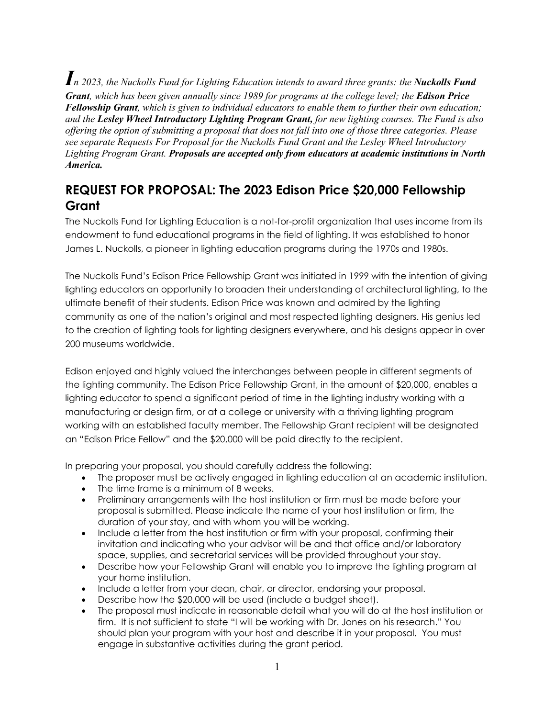*In 2023, the Nuckolls Fund for Lighting Education intends to award three grants: the Nuckolls Fund Grant, which has been given annually since 1989 for programs at the college level; the Edison Price Fellowship Grant, which is given to individual educators to enable them to further their own education; and the Lesley Wheel Introductory Lighting Program Grant, for new lighting courses. The Fund is also offering the option of submitting a proposal that does not fall into one of those three categories. Please see separate Requests For Proposal for the Nuckolls Fund Grant and the Lesley Wheel Introductory Lighting Program Grant. Proposals are accepted only from educators at academic institutions in North America.*

# **REQUEST FOR PROPOSAL: The 2023 Edison Price \$20,000 Fellowship Grant**

The Nuckolls Fund for Lighting Education is a not-for-profit organization that uses income from its endowment to fund educational programs in the field of lighting. It was established to honor James L. Nuckolls, a pioneer in lighting education programs during the 1970s and 1980s.

The Nuckolls Fund's Edison Price Fellowship Grant was initiated in 1999 with the intention of giving lighting educators an opportunity to broaden their understanding of architectural lighting, to the ultimate benefit of their students. Edison Price was known and admired by the lighting community as one of the nation's original and most respected lighting designers. His genius led to the creation of lighting tools for lighting designers everywhere, and his designs appear in over 200 museums worldwide.

Edison enjoyed and highly valued the interchanges between people in different segments of the lighting community. The Edison Price Fellowship Grant, in the amount of \$20,000, enables a lighting educator to spend a significant period of time in the lighting industry working with a manufacturing or design firm, or at a college or university with a thriving lighting program working with an established faculty member. The Fellowship Grant recipient will be designated an "Edison Price Fellow" and the \$20,000 will be paid directly to the recipient.

In preparing your proposal, you should carefully address the following:

- The proposer must be actively engaged in lighting education at an academic institution.
- The time frame is a minimum of 8 weeks.
- Preliminary arrangements with the host institution or firm must be made before your proposal is submitted. Please indicate the name of your host institution or firm, the duration of your stay, and with whom you will be working.
- Include a letter from the host institution or firm with your proposal, confirming their invitation and indicating who your advisor will be and that office and/or laboratory space, supplies, and secretarial services will be provided throughout your stay.
- Describe how your Fellowship Grant will enable you to improve the lighting program at your home institution.
- Include a letter from your dean, chair, or director, endorsing your proposal.
- Describe how the \$20,000 will be used (include a budget sheet).
- The proposal must indicate in reasonable detail what you will do at the host institution or firm. It is not sufficient to state "I will be working with Dr. Jones on his research." You should plan your program with your host and describe it in your proposal. You must engage in substantive activities during the grant period.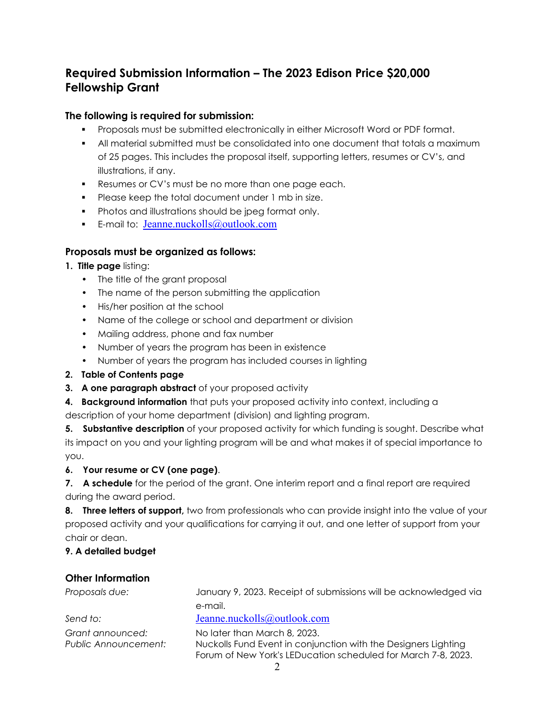## **Required Submission Information – The 2023 Edison Price \$20,000 Fellowship Grant**

## **The following is required for submission:**

- Proposals must be submitted electronically in either Microsoft Word or PDF format.
- All material submitted must be consolidated into one document that totals a maximum of 25 pages. This includes the proposal itself, supporting letters, resumes or CV's, and illustrations, if any.
- **Resumes or CV's must be no more than one page each.**
- **Please keep the total document under 1 mb in size.**
- **•** Photos and illustrations should be jpeg format only.
- E-mail to: [Jeanne.nuckolls@outlook.com](mailto:Jeanne.nuckolls@outlook.com)

#### **Proposals must be organized as follows:**

- **1. Title page** listing:
	- The title of the grant proposal
	- The name of the person submitting the application
	- His/her position at the school
	- Name of the college or school and department or division
	- Mailing address, phone and fax number
	- Number of years the program has been in existence
	- Number of years the program has included courses in lighting
- **2. Table of Contents page**
- **3. A one paragraph abstract** of your proposed activity
- **4. Background information** that puts your proposed activity into context, including a
- description of your home department (division) and lighting program.

**5. Substantive description** of your proposed activity for which funding is sought. Describe what its impact on you and your lighting program will be and what makes it of special importance to you.

#### **6. Your resume or CV (one page)**.

**7. A schedule** for the period of the grant. One interim report and a final report are required during the award period.

**8. Three letters of support,** two from professionals who can provide insight into the value of your proposed activity and your qualifications for carrying it out, and one letter of support from your chair or dean.

#### **9. A detailed budget**

### **Other Information**

*Proposals due:* January 9, 2023. Receipt of submissions will be acknowledged via e-mail. *Send to:* [Jeanne.nuckolls@outlook.com](mailto:Jeanne.nuckolls@outlook.com) *Grant announced:* No later than March 8, 2023. *Public Announcement:* Nuckolls Fund Event in conjunction with the Designers Lighting Forum of New York's LEDucation scheduled for March 7-8, 2023.